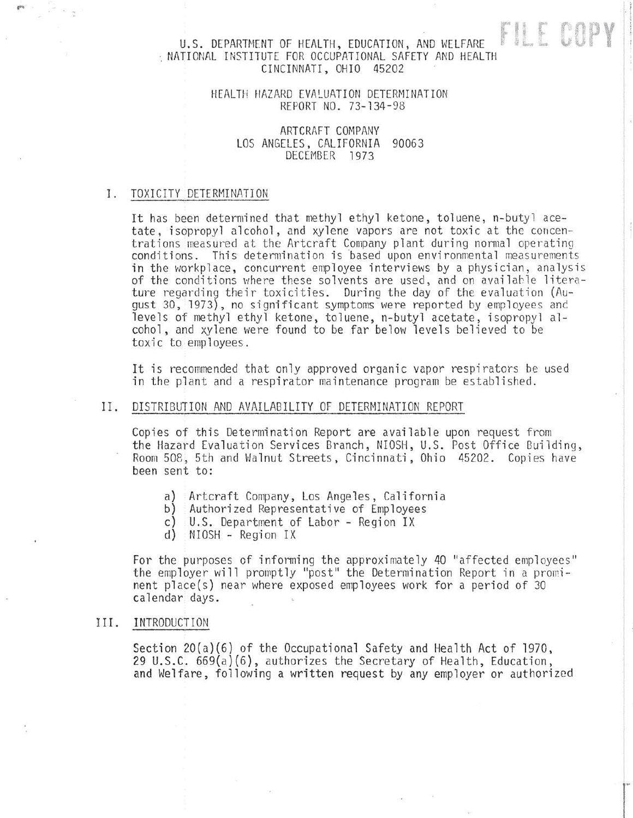# FILE COPY U.S. DEPARTMENT OF HEALTH, EDUCATION, AND WELFARE : NATIONAL INSTITUTE FOR OCCUPATIONAL SAFETY AND HEALTH CINCINNATI, OHIO 45202

# HEALTH HAZARD EVALUATION DETERMINATION REPORT NO. 73-134-98

ARTCRAFT COMPANY LOS ANGELES, CALIFORNIA 90063 DECEMBER 1973

### I. TOXICITY DETERMINATION

It has been determined that methyl ethyl ketone, toluene, n-butyl acetate , isopropyl alcohol, and xylene vapors are not toxic at the concentrations measured at the Artcraft Company plant during normal operating conditions. This determination is based upon environmental measurements in the workplace, concurrent employee interviews by a physician, analysis of the conditions where these solvents are used, and on availahle literature regarding their toxicities . During the day of the evaluution (August 30, 1973), no significant symptoms were reported by employees anc levels of methyl ethyl ketone, toluene, n-butyl acetate, isopropyl alcohol , and xylene were found to be far below levels believed to be toxic to employees.

It is recommended that only approved organic vapor respirators be used in the plant and a respirator maintenance program be established.

## II. DISTRIBUTION AND AVAILABILITY OF DETERMINATION REPORT

Copies of this Determination Report are available upon request from the Hazard Evaluation Services Branch, NIOSH, U.S. Post Office Building, Room 508, 5th and Walnut Streets, Cincinnati, Ohio 45202 . Copies have been sent to:

- a) Artcraft Company, Los Angeles, California
- b) Authorized Representative of Employees
- c) U.S. Department of Labor Region IX
- d) NIOSH Region IX

For the purposes of informing the approximately 40 "affected employees" the employer will promptly "post" the Determination Report in a prominent place(s) near where exposed employees work for a period of 30 calendar days.

### III. INTRODUCTION

Section  $20(a)(6)$  of the Occupational Safety and Health Act of 1970, 29 U.S.C. 669(a)(6), authorizes the Secretary of Health, Education, and Welfare, following a written request by any employer or authorized

la la contrata del contrata del contrata del contrata del contrata del contrata del contrata del contrata del contrata del contrata del contrata del contrata del contrata del contrata del contrata del contrata del contrata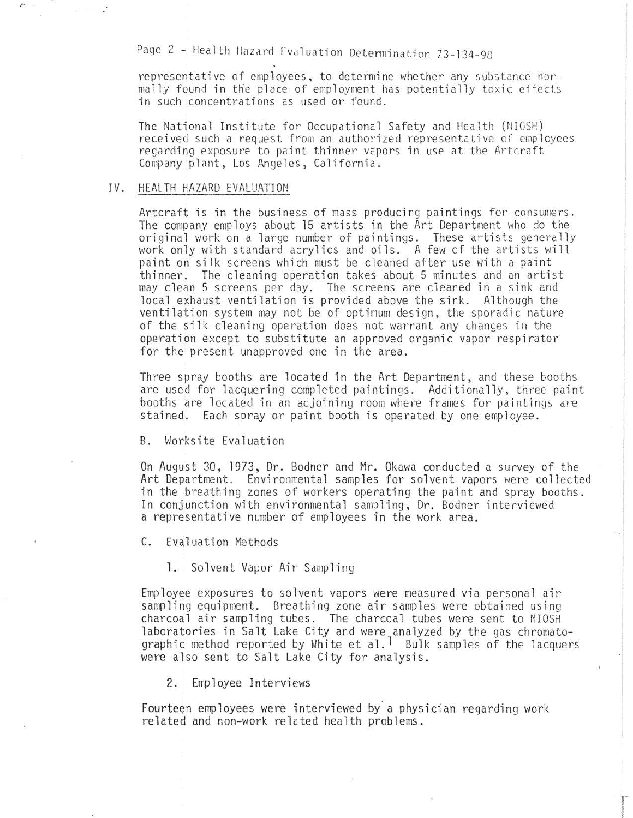Page 2 - Health Hazard Evaluation Determination 73-134-98

representative of employees, to determine whether any substance normally found in the place of employment has potentially toxic effects in such concentrations as used or found.

The National Institute for Occupational Safety and Health (NIOSH) received such a request from an authorized representative of employees regarding exposure to paint thinner vapors in use at the Artcraft Company plant, Los An geles, California.

#### IV. HEALTH HAZARD EVALUATION

,.,

Artcraft is in the business of mass producing paintings for consumers. The company employs about 15 artists in the Art Department who do the original work on a large number of paintings. These artists generally work only with standard acrylics and oils. A few of the artists will paint on silk screens which must be cleaned after use with a paint thinner. The cleaning operation takes about 5 minutes and an artist may clean 5 screens per day. The screens are cleaned in a sink and local exhaust ventilation is provided above the sink. Although the ventilation system may not be of optimum design, the sporadic nature of the silk cleaning operation does not warrant any changes in the operation except to substitute an approved organic vapor respirator for the present unapproved one in the area.

Three spray booths are located in the Art Department, and these booths are used for lacquering completed paintings. Additionally, three paint booths are located in an adjoining room where frames for paintings are stained. Each spray or paint booth is operated by one employee.

B. Worksite Evaluation

On August 30 , 1973, Dr. Bodner and Mr. Okawa conducted a survey of the Art Department. Environmental samples for solvent vapors were collected in the breathing zones of workers operating the paint and spray booths. In conjunction with environmental sampling, Dr. Bodner interviewed a representative number of employees in the work area.

C. Evaluation Methods

1. Solvent Vapor Air Sampling

Employee exposures to solvent vapors were measured via personal air sampling equipment. Breathing zone air samples were obtained using charcoal air sampling tubes. The charcoal tubes were sent to NIOSH laboratories in Salt Lake City and were analyzed by the gas chromatographic method reported by White et al.<sup>1</sup> Bulk samples of the lacquers were also sent to Salt Lake City for analysis.

2. Employee Interviews

Fourteen employees were interviewed by a physician regarding work related and non-work related health problems .

r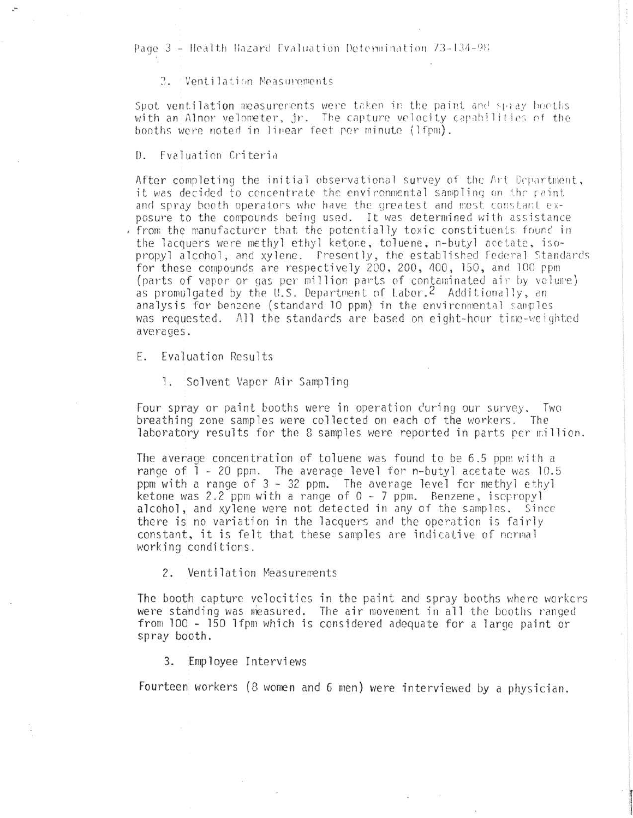Page 3 - Health Hazard Evaluation Determination 73-134-98

3. Ventilation Measurements

Spot ventilation measurements were taken in the paint and spray booths with an Alnor velometer, jr. The capture velocity capabilities of the booths were noted in linear feet per minute (lfpm).

D. Fvaluation Criteria

After completing the initial observational survey of the Art Department, it was decided to concentrate the environmental sampling on the paint and spray booth operators who have the greatest and most constant exposure to the compounds being used. It was determined with assistance from the manufacturer that the potentially toxic constituents found in the lacquers were methyl ethyl ketone, toluene, n-butyl acetate, isopropyl alcohol, and xylene. Presently, the established Federal Standards for these compounds are respectively 200, 200, 400, 150, and 100 ppm (parts of vapor or gas per million parts of contaminated air by volume) as promulgated by the U.S. Department of Labor.<sup>2</sup> Additionally, an analysis for benzene (standard 10 ppm) in the environmental samples was requested. All the standards are based on eight-hour time-weighted averages.

Evaluation Results E.

1. Solvent Vaper Air Sampling

Four spray or paint booths were in operation during our survey. Two breathing zone samples were collected on each of the workers. The laboratory results for the 8 samples were reported in parts per million.

The average concentration of toluene was found to be 6.5 ppm with a range of 1 - 20 ppm. The average level for n-butyl acetate was 10.5 ppm with a range of 3 - 32 ppm. The average level for methyl ethyl ketone was 2.2 ppm with a range of 0 - 7 ppm. Benzene, iscpropyl alcohol, and xylene were not detected in any of the samples. Since there is no variation in the lacquers and the operation is fairly constant, it is felt that these samples are indicative of normal working conditions.

Ventilation Measurements  $2.$ 

The booth capture velocities in the paint and spray booths where workers were standing was measured. The air movement in all the booths ranged from 100 - 150 1fpm which is considered adequate for a large paint or spray booth.

Employee Interviews 3.

Fourteen workers (8 women and 6 men) were interviewed by a physician.